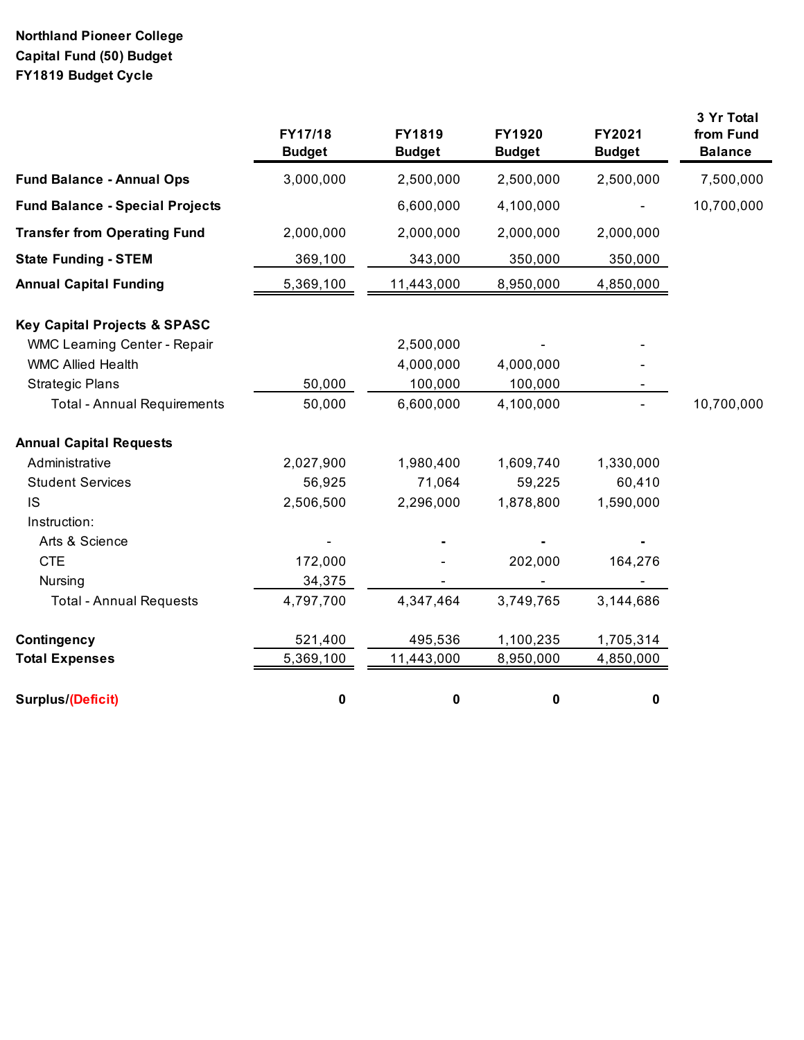## **Northland Pioneer College Capital Fund (50) Budget FY1819 Budget Cycle**

|                                         | FY17/18<br><b>Budget</b> | FY1819<br><b>Budget</b> | <b>FY1920</b><br><b>Budget</b> | FY2021<br><b>Budget</b> | 3 Yr Total<br>from Fund<br><b>Balance</b> |
|-----------------------------------------|--------------------------|-------------------------|--------------------------------|-------------------------|-------------------------------------------|
| <b>Fund Balance - Annual Ops</b>        | 3,000,000                | 2,500,000               | 2,500,000                      | 2,500,000               | 7,500,000                                 |
| <b>Fund Balance - Special Projects</b>  |                          | 6,600,000               | 4,100,000                      |                         | 10,700,000                                |
| <b>Transfer from Operating Fund</b>     | 2,000,000                | 2,000,000               | 2,000,000                      | 2,000,000               |                                           |
| <b>State Funding - STEM</b>             | 369,100                  | 343,000                 | 350,000                        | 350,000                 |                                           |
| <b>Annual Capital Funding</b>           | 5,369,100                | 11,443,000              | 8,950,000                      | 4,850,000               |                                           |
| <b>Key Capital Projects &amp; SPASC</b> |                          |                         |                                |                         |                                           |
| <b>WMC Learning Center - Repair</b>     |                          | 2,500,000               |                                |                         |                                           |
| <b>WMC Allied Health</b>                |                          | 4,000,000               | 4,000,000                      |                         |                                           |
| <b>Strategic Plans</b>                  | 50,000                   | 100,000                 | 100,000                        |                         |                                           |
| <b>Total - Annual Requirements</b>      | 50,000                   | 6,600,000               | 4,100,000                      |                         | 10,700,000                                |
| <b>Annual Capital Requests</b>          |                          |                         |                                |                         |                                           |
| Administrative                          | 2,027,900                | 1,980,400               | 1,609,740                      | 1,330,000               |                                           |
| <b>Student Services</b>                 | 56,925                   | 71,064                  | 59,225                         | 60,410                  |                                           |
| <b>IS</b>                               | 2,506,500                | 2,296,000               | 1,878,800                      | 1,590,000               |                                           |
| Instruction:                            |                          |                         |                                |                         |                                           |
| Arts & Science                          |                          |                         |                                |                         |                                           |
| <b>CTE</b>                              | 172,000                  |                         | 202,000                        | 164,276                 |                                           |
| Nursing                                 | 34,375                   |                         |                                |                         |                                           |
| <b>Total - Annual Requests</b>          | 4,797,700                | 4,347,464               | 3,749,765                      | 3,144,686               |                                           |
| Contingency                             | 521,400                  | 495,536                 | 1,100,235                      | 1,705,314               |                                           |
| <b>Total Expenses</b>                   | 5,369,100                | 11,443,000              | 8,950,000                      | 4,850,000               |                                           |
| Surplus/(Deficit)                       | 0                        | 0                       | $\pmb{0}$                      | 0                       |                                           |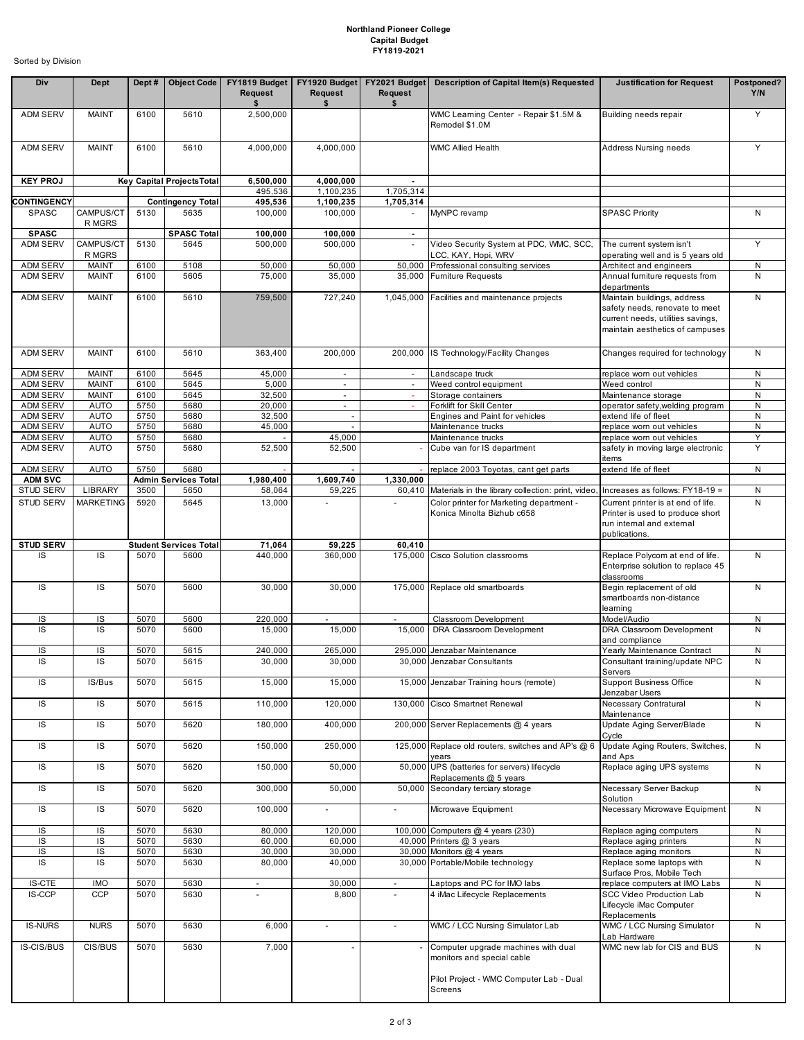## **Northland Pioneer College Capital Budget FY1819-2021**

Sorted by Division

| Div                                | Dept                         | Dept#        | <b>Object Code</b>                  | Request                  | FY1819 Budget   FY1920 Budget<br>Request | FY2021 Budget<br>Request | Description of Capital Item(s) Requested                               | <b>Justification for Request</b>                                                                                                      | Postponed?<br>Y/N |
|------------------------------------|------------------------------|--------------|-------------------------------------|--------------------------|------------------------------------------|--------------------------|------------------------------------------------------------------------|---------------------------------------------------------------------------------------------------------------------------------------|-------------------|
| <b>ADM SERV</b>                    | MAINT                        | 6100         | 5610                                | \$<br>2,500,000          | \$                                       | \$                       | WMC Learning Center - Repair \$1.5M &<br>Remodel \$1.0M                | Building needs repair                                                                                                                 | Y                 |
| <b>ADM SERV</b>                    | <b>MAINT</b>                 | 6100         | 5610                                | 4,000,000                | 4,000,000                                |                          | <b>WMC Allied Health</b>                                               | Address Nursing needs                                                                                                                 | Y                 |
| <b>KEY PROJ</b>                    |                              |              | Key Capital Projects Total          | 6,500,000                | 4,000,000                                | $\blacksquare$           |                                                                        |                                                                                                                                       |                   |
|                                    |                              |              |                                     | 495,536                  | 1,100,235                                | 1,705,314                |                                                                        |                                                                                                                                       |                   |
| <b>CONTINGENCY</b><br>SPASC        | CAMPUS/CT                    | 5130         | <b>Contingency Total</b><br>5635    | 495,536<br>100,000       | 1,100,235<br>100,000                     | 1,705,314                | MyNPC revamp                                                           | <b>SPASC Priority</b>                                                                                                                 | N                 |
| <b>SPASC</b>                       | R MGRS                       |              | <b>SPASC Total</b>                  | 100,000                  | 100,000                                  | $\sim$<br>$\sim$         |                                                                        |                                                                                                                                       |                   |
| <b>ADM SERV</b>                    | CAMPUS/CT                    | 5130         | 5645                                | 500,000                  | 500,000                                  | $\mathcal{L}$            | Video Security System at PDC, WMC, SCC,                                | The current system isn't                                                                                                              | Y                 |
|                                    | R MGRS                       |              |                                     |                          |                                          |                          | LCC, KAY, Hopi, WRV                                                    | operating well and is 5 years old                                                                                                     |                   |
| <b>ADM SERV</b><br><b>ADM SERV</b> | <b>MAINT</b><br>MAINT        | 6100<br>6100 | 5108<br>5605                        | 50,000<br>75,000         | 50,000<br>35,000                         | 50,000                   | Professional consulting services<br>35,000 Furniture Requests          | Architect and engineers<br>Annual furniture requests from                                                                             | ${\sf N}$<br>N    |
|                                    |                              |              |                                     |                          |                                          |                          |                                                                        | departments                                                                                                                           |                   |
| <b>ADM SERV</b>                    | MAINT                        | 6100         | 5610                                | 759,500                  | 727,240                                  |                          | 1,045,000 Facilities and maintenance projects                          | Maintain buildings, address<br>safety needs, renovate to meet<br>current needs, utilities savings,<br>maintain aesthetics of campuses | N                 |
| <b>ADM SERV</b>                    | MAINT                        | 6100         | 5610                                | 363,400                  | 200,000                                  | 200.000                  | IS Technology/Facility Changes                                         | Changes required for technology                                                                                                       | ${\sf N}$         |
| <b>ADM SERV</b>                    | <b>MAINT</b>                 | 6100         | 5645                                | 45,000                   |                                          |                          | Landscape truck                                                        | replace worn out vehicles                                                                                                             | N                 |
| <b>ADM SERV</b><br><b>ADM SERV</b> | <b>MAINT</b><br><b>MAINT</b> | 6100<br>6100 | 5645<br>5645                        | 5,000<br>32,500          | $\omega$<br>$\sim$                       | $\omega$<br>$\sim$       | Weed control equipment<br>Storage containers                           | Weed control<br>Maintenance storage                                                                                                   | N<br>N            |
| <b>ADM SERV</b>                    | <b>AUTO</b>                  | 5750         | 5680                                | 20.000                   | $\sim$                                   | $\sim$                   | Forklift for Skill Center                                              | operator safety, welding program                                                                                                      | N                 |
| <b>ADM SERV</b>                    | <b>AUTO</b>                  | 5750         | 5680                                | 32,500                   | $\omega$                                 |                          | Engines and Paint for vehicles                                         | extend life of fleet                                                                                                                  | ${\sf N}$         |
| <b>ADM SERV</b>                    | AUTO                         | 5750         | 5680                                | 45,000                   | ÷.                                       |                          | Maintenance trucks                                                     | replace worn out vehicles                                                                                                             | N                 |
| <b>ADM SERV</b>                    | <b>AUTO</b>                  | 5750         | 5680                                |                          | 45,000                                   |                          | Maintenance trucks                                                     | replace worn out vehicles                                                                                                             | Y<br>Y            |
| <b>ADM SERV</b>                    | <b>AUTO</b>                  | 5750         | 5680                                | 52,500                   | 52,500                                   |                          | Cube van for IS department                                             | safety in moving large electronic<br>items                                                                                            |                   |
| <b>ADM SERV</b>                    | <b>AUTO</b>                  | 5750         | 5680                                |                          |                                          |                          | replace 2003 Toyotas, cant get parts                                   | extend life of fleet                                                                                                                  | N                 |
| <b>ADM SVC</b><br><b>STUD SERV</b> | LIBRARY                      | 3500         | <b>Admin Services Total</b><br>5650 | 1,980,400<br>58,064      | 1,609,740<br>59,225                      | 1,330,000<br>60,410      | Materials in the library collection: print, video                      | Increases as follows: FY18-19 =                                                                                                       | N                 |
| <b>STUD SERV</b>                   | <b>MARKETING</b>             | 5920         | 5645                                | 13,000                   |                                          |                          | Color printer for Marketing department -<br>Konica Minolta Bizhub c658 | Current printer is at end of life.<br>Printer is used to produce short<br>run internal and external<br>publications.                  | N                 |
| <b>STUD SERV</b>                   |                              |              | <b>Student Services Total</b>       | 71,064                   | 59,225                                   | 60,410                   |                                                                        |                                                                                                                                       |                   |
| IS                                 | IS                           | 5070         | 5600                                | 440,000                  | 360,000                                  |                          | 175,000 Cisco Solution classrooms                                      | Replace Polycom at end of life.<br>Enterprise solution to replace 45<br>classrooms                                                    | N                 |
| IS                                 | IS                           | 5070         | 5600                                | 30,000                   | 30,000                                   |                          | 175,000 Replace old smartboards                                        | Begin replacement of old<br>smartboards non-distance<br>learning                                                                      | N                 |
| IS                                 | IS                           | 5070         | 5600                                | 220,000                  | $\blacksquare$                           | $\overline{\phantom{a}}$ | Classroom Development                                                  | Model/Audio                                                                                                                           | N                 |
| IS                                 | IS                           | 5070         | 5600                                | 15,000                   | 15,000                                   | 15,000                   | DRA Classroom Development                                              | DRA Classroom Development<br>and compliance                                                                                           | N                 |
| IS<br>IS                           | IS<br>IS                     | 5070<br>5070 | 5615<br>5615                        | 240,000<br>30,000        | 265,000<br>30,000                        |                          | 295,000 Jenzabar Maintenance<br>30,000 Jenzabar Consultants            | Yearly Maintenance Contract<br>Consultant training/update NPC                                                                         | ${\sf N}$<br>N    |
|                                    |                              |              |                                     |                          |                                          |                          |                                                                        | Servers                                                                                                                               |                   |
| IS                                 | IS/Bus                       | 5070         | 5615                                | 15,000                   | 15,000                                   |                          | 15,000 Jenzabar Training hours (remote)                                | <b>Support Business Office</b><br>Jenzabar Users                                                                                      | ${\sf N}$         |
| IS                                 | IS                           | 5070         | 5615                                | 110,000                  | 120,000                                  |                          | 130,000 Cisco Smartnet Renewal                                         | Necessary Contratural<br>Maintenance                                                                                                  | $\mathsf{N}$      |
| IS                                 | IS                           | 5070         | 5620                                | 180,000                  | 400,000                                  |                          | 200,000 Server Replacements @ 4 years                                  | Update Aging Server/Blade<br>Cycle                                                                                                    | N                 |
| IS                                 | IS                           | 5070         | 5620                                | 150,000                  | 250,000                                  |                          | 125,000 Replace old routers, switches and AP's @ 6<br>vears            | Update Aging Routers, Switches,<br>and Aps                                                                                            | N                 |
| IS                                 | IS                           | 5070         | 5620                                | 150,000                  | 50,000                                   |                          | 50,000 UPS (batteries for servers) lifecycle<br>Replacements @ 5 years | Replace aging UPS systems                                                                                                             | N                 |
| IS                                 | IS                           | 5070         | 5620                                | 300,000                  | 50,000                                   |                          | 50,000 Secondary terciary storage                                      | Necessary Server Backup<br>Solution                                                                                                   | ${\sf N}$         |
| IS                                 | IS                           | 5070         | 5620                                | 100,000                  | $\blacksquare$                           | $\omega$                 | Microwave Equipment                                                    | Necessary Microwave Equipment                                                                                                         | N                 |
| IS                                 | IS                           | 5070         | 5630                                | 80,000                   | 120,000                                  |                          | 100,000 Computers @ 4 years (230)                                      | Replace aging computers                                                                                                               | N                 |
| IS<br>IS                           | IS<br>IS                     | 5070<br>5070 | 5630<br>5630                        | 60,000<br>30,000         | 60,000<br>30,000                         |                          | 40,000 Printers @ 3 years<br>30,000 Monitors @ 4 years                 | Replace aging printers<br>Replace aging monitors                                                                                      | N<br>N            |
| IS                                 | IS                           | 5070         | 5630                                | 80,000                   | 40,000                                   |                          | 30,000 Portable/Mobile technology                                      | Replace some laptops with                                                                                                             | N                 |
|                                    |                              |              |                                     |                          |                                          |                          |                                                                        | Surface Pros, Mobile Tech                                                                                                             |                   |
| <b>IS-CTE</b><br>IS-CCP            | <b>IMO</b><br><b>CCP</b>     | 5070<br>5070 | 5630<br>5630                        | $\overline{\phantom{a}}$ | 30,000<br>8,800                          | $\blacksquare$           | Laptops and PC for IMO labs<br>4 iMac Lifecycle Replacements           | replace computers at IMO Labs<br>SCC Video Production Lab                                                                             | N<br>N            |
|                                    |                              |              |                                     |                          |                                          |                          |                                                                        | Lifecycle iMac Computer<br>Replacements                                                                                               |                   |
| <b>IS-NURS</b>                     | <b>NURS</b>                  | 5070         | 5630                                | 6,000                    | $\blacksquare$                           | $\omega$                 | WMC / LCC Nursing Simulator Lab                                        | WMC / LCC Nursing Simulator<br>Lab Hardware                                                                                           | $\mathsf{N}$      |
| IS-CIS/BUS                         | CIS/BUS                      | 5070         | 5630                                | 7,000                    |                                          |                          | Computer upgrade machines with dual<br>monitors and special cable      | WMC new lab for CIS and BUS                                                                                                           | ${\sf N}$         |
|                                    |                              |              |                                     |                          |                                          |                          | Pilot Project - WMC Computer Lab - Dual<br>Screens                     |                                                                                                                                       |                   |